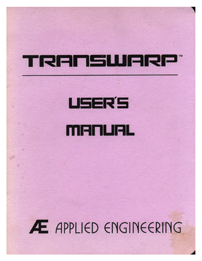## TRANSWARP

# **USER'S** MANUAL

# **Æ** APPLIED ENGINEERING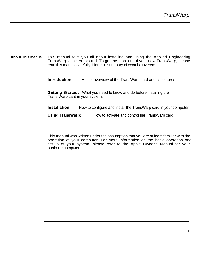**About This Manual** This manual tells you all about installing and using the Applied Engineering TransWarp accelerator card. To get the most out of your new TransWarp, please read this manual carefully. Here's a summary of what is covered:

**Introduction:** A brief overview of the TransWarp card and its features.

**Getting Started:** What you need to know and do before installing the Trans Warp card in your system.

**Installation:** How to configure and install the TransWarp card in your computer.

**Using TransWarp:** How to activate and control the TransWarp card.

This manual was written under the assumption that you are at least familiar with the operation of your computer. For more information on the basic operation and set-up of your system, please refer to the Apple Owner's Manual for your particular computer.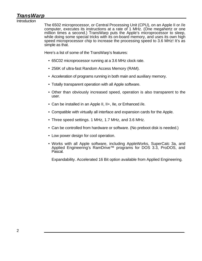### *TransWarp*

Introduction

The 6502 microprocessor, or Central Processing Unit (CPU), on an Apple II or //e computer, executes its instructions at a rate of 1 MHz. (One megahertz or one million times a second.) TransWarp puts the Apple's microprocessor to sleep, while doing some special tricks with its on-board memory, and uses its own high speed microprocessor chip to increase the processing speed to 3.6 MHz! It's as simple as that.

Here's a list of some of the TransWarp's features:

- 65C02 microprocessor running at a 3.6 MHz clock rate.
- 256K of ultra-fast Random Access Memory (RAM).
- Acceleration of programs running in both main and auxiliary memory.
- Totally transparent operation with all Apple software.
- Other than obviously increased speed, operation is also transparent to the user.
- Can be installed in an Apple II, II+, IIe, or Enhanced //e.
- Compatible with virtually all interface and expansion cards for the Apple.
- Three speed settings. 1 MHz, 1.7 MHz, and 3.6 MHz.
- Can be controlled from hardware or software. (No preboot disk is needed.)
- Low power design for cool operation.
- Works with all Apple software, including AppleWorks, SuperCalc 3a, and Applied Engineering's RamDrive™ programs for DOS 3.3, ProDOS, and Pascal.

Expandability. Accelerated 16 Bit option available from Applied Engineering.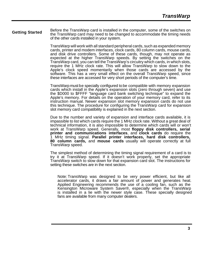#### **Getting Started** Before the TransWarp card is installed in the computer, some of the switches on the TransWarp card may need to be changed to accommodate the timing needs of the other cards installed in your system.

TransWarp will work with all standard peripheral cards, such as expanded memory cards, printer and modem interfaces, clock cards, 80 column cards, mouse cards, and disk drive controllers. Some of these cards, though, may not operate as expected at the higher TransWarp speeds. By setting the switches on the TransWarp card, you can tell the TransWarp's circuitry which cards, in which slots, require the 1 MHz clock rate. This will allow TransWarp to slow down to the Apple's clock speed momentarily when those cards are accessed by the software. This has a very small effect on the overall TransWarp speed, since these interfaces are accessed for very short periods of the computer's time.

TransWarp must be specially configured to be compatible with memory expansion cards which install in the Apple's expansion slots (zero through seven) and use the \$D000 to \$FFFF "language card bank switching technique" to expand the Apple's memory. For details on the operation of your memory card, refer to its instruction manual. Newer expansion slot memory expansion cards do not use this technique. The procedure for configuring the TransWarp card for expansion slot memory card compatibility is explained in the next section.

Due to the number and variety of expansion and interface cards available, it is impassible to list which cards require the 1 MHz clock rate. Without a great deal of technical information, it is also impossible to determine which cards will or won't work at TransWarp speed. Generally, most **floppy disk controllers, serial printer and communications interfaces**, and **clock cards** do require the 1 MHz timing signal. **Parallel printer interfaces, hard disk controllers, 80 column cards,** and **mouse cards** usually will operate correctly at full TransWarp speed.

The simplest method of determining the timing signal requirement of a card is to try it at TransWarp speed. If it doesn't work properly, set the appropriate TransWarp switch to slow down for that expansion card slot. The instructions for setting these switches are in the next section.

Note: TransWarp was designed to be very power efficient, but like all accelerator cards, it draws a fair amount of power and generates heat. Applied Engineering recommends the use of a cooling fan, such as the Kensington Microware System Saver®, especially when the TransWarp is installed in a lie with the newer style case. These specially designed fans are available from many computer dealers.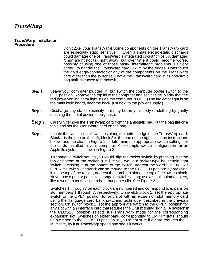#### **TransWarp Installation Procedure**

Don't ZAP your TransWarp! Some components on the TransWarp card are especially static sensitive. Even a small electro-static discharge Even a small electro-static discharge. could damage one of TransWarp's integrated circuit "chips". A damaged "chip" might not fail right away, but over time it could become worse, possibly causing one of those nasty "intermittent" problems. Be very careful to handle the TransWarp card ONLY by the edges. Don't touch the gold edge-connector or any of the components on the TransWarp card other than the switches. Leave the TransWarp card in its anti-static bag until instructed to remove it.

- **Step** 1 Leave your computer plugged in, but switch the computer power switch to the OFF position. Remove the top lid of the computer and set it aside. Verify that the red power-on indicator light inside the computer is OFF. (The indicator light is on the main logic board, near the back, just next to the power supply.)
- **Step** 2 Discharge any static electricity that may be on your body or clothing by gently touching the metal power supply case.
- **Step 3** Carefully remove the TransWarp card from the anti-static bag. Put the bag flat on a table and set the TransWarp card on the bag.
- **Step** 4 Locate the two blocks of switches along the bottom edge of the TransWarp card. Block 1 is the one on the left; block 2 is the one on the right. Use the instructions below, and the chart in Figure 1 to determine the appropriate switch settings for the cards installed in your computer. An example switch configuration for an Apple lle system is shown in Figure 2.

To change a switch setting you would "flip" the rocker switch, by pressing in at the top or bottom of the rocker, just like you would a rocker-type household light switch. Pressing in at the bottom of the switch, nearest the word "OPEN", will OPEN the switch. Theswitch canbe moved to the CLOSED position by pressing in at the top of the rocker, nearest the numbers along the top of the switch block. Never use a pen or pencil to change a switch setting; use a small pointed object, like a wooden toothpick or a bent-out paper clip. See Figure 2.

Switches 1 through 7 on each block are numbered and correspond to expansion slot numbers 1 through 7, respectively. On switch block 1, set the appropriate switch to the OPEN position for any slot with an expansion slot memory card using the "language card bank switching technique" described in the previous section. On switch block 2, set the appropriate switch to the OPEN position for any slot with an interface card that requires the 1 MHz timing sign al. A switnch in the CLOSED position selects full TransWarp mode for the corresponding expansion slot. Switches on either bank, corresponding to EMPTY slots, should be switched to the CLOSED position. If you're not sure if a card requires the 1 MHz rate, try it at TransWarp speed and see if it works.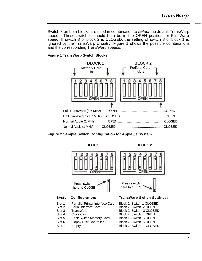Switch 8 on both blocks are used in combination to *select* the default TransWarp speed. These switches should both be in the OPEN position for Full Warp speed. If switch 8 of block 2 is CLOSED, the setting of switch 8 of block 1 is ignored by the TransWarp circuitry. Figure 1 shows the possible combinations and the corresponding TransWarp speeds.

### **Figure 1 TransWarp Switch Blocks**





**BLOCK 1** BLOCK 2



- 
- 

Slot 6 Floppy Disk Controller Block 2, Switch 6 OPEN Slot 7 Empty Block 2, Switch 7 CLOSED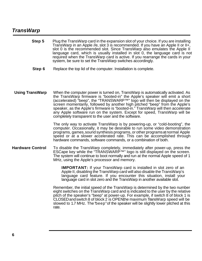### *TransWarp*

| Step 5                  | Plug the TransWarp card in the expansion slot of your choice. If you are installing<br>TransWarp in an Apple //e, slot 3 is recommended. If you have an Apple II or II+,<br>slot 0 is the recommended slot. Since TransWarp also emulates the Apple II<br>language card, which is usually installed in slot 0, the language card is not<br>required when the TransWarp card is active. If you rearrange the cards in your<br>system, be sure to set the TransWarp switches accordingly.                                                             |
|-------------------------|-----------------------------------------------------------------------------------------------------------------------------------------------------------------------------------------------------------------------------------------------------------------------------------------------------------------------------------------------------------------------------------------------------------------------------------------------------------------------------------------------------------------------------------------------------|
| Step 6                  | Replace the top lid of the computer. Installation is complete.                                                                                                                                                                                                                                                                                                                                                                                                                                                                                      |
| <b>Using TransWarp</b>  | When the computer power is turned on, TransWarp is automatically activated. As<br>the TransWarp firmware is "booted-in" the Apple's speaker will emit a short<br>(accelerated) "beep", the "TRANSWARP™" logo will then be displayed on the<br>screen momentarily, followed by another high pitched "beep" from the Apple's<br>speaker, as the Apple's firmware is "booted-in." TransWarp will then accelerate<br>any Apple software run on the system. Except for speed, Trans Warp will be<br>completely transparent to the user and the software. |
|                         | The only way to activate TransWarp is by powering-up, or "cold-booting", the<br>computer. Occasionally, it may be desirable to run some video demonstration<br>programs, games, sound synthesis programs, or other programs at normal Apple<br>speed or at a slower accelerated rate. This can be accomplished through<br>hardware commands, software commands, or a combination of both.                                                                                                                                                           |
| <b>Hardware Control</b> | To disable the TransWarp completely, immediately after power-up, press the<br>ESCape key while the "TRANSWARP™" logo is still displayed on the screen.<br>The system will continue to boot normally and run at the normal Apple speed of 1<br>MHz, using the Apple's processor and memory.                                                                                                                                                                                                                                                          |
|                         | <b>IMPORTANT:</b> If your TransWarp card is installed in slot zero of an<br>Apple II, disabling the TransWarp card will also disable the TransWarp's<br>language card feature. If you encounter this situation, install your<br>language card in slot zero and the TransWarp in another available slot.                                                                                                                                                                                                                                             |
|                         | Remember, the initial speed of the TransWarp is determined by the two number<br>eight switches on the TransWarp card and is indicated to the user by the relative<br>pitch of the speaker's "beep" at power-up. For example, if switch 8 of block 1 is<br>CLOSED and switch 8 of block 2 is OPEN the maximum Trans Warp speed will be<br>slowed to 1.7 MHz. The "beep" of the speaker will be slightly lower pitched at this<br>rate.                                                                                                               |
|                         |                                                                                                                                                                                                                                                                                                                                                                                                                                                                                                                                                     |